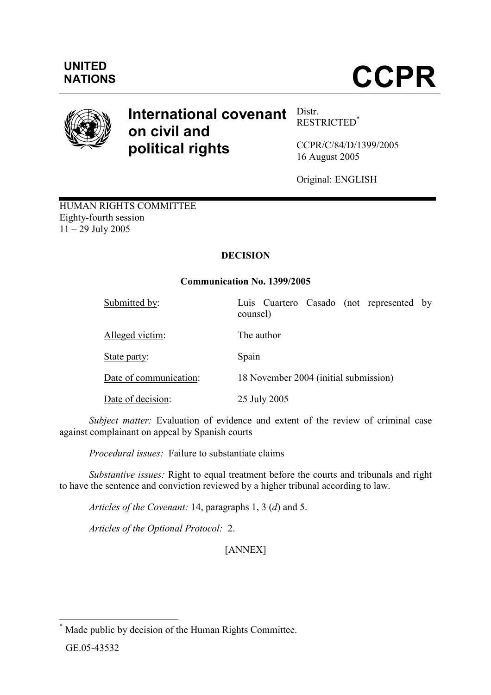

# International covenant  $\frac{\text{Dist}}{\text{best}}$ on civil and political rights

RESTRICTED\*

CCPR/C/84/D/1399/2005 16 August 2005

Original: ENGLISH

HUMAN RIGHTS COMMITTEE Eighty-fourth session  $11 - 29$  July 2005

## DECISION

## Communication No. 1399/2005

counsel)

Submitted by: Luis Cuartero Casado (not represented by

Alleged victim: The author

State party: Spain

Date of communication: 18 November 2004 (initial submission)

Date of decision: 25 July 2005

Subject matter: Evaluation of evidence and extent of the review of criminal case against complainant on appeal by Spanish courts

Procedural issues: Failure to substantiate claims

 Substantive issues: Right to equal treatment before the courts and tribunals and right to have the sentence and conviction reviewed by a higher tribunal according to law.

Articles of the Covenant: 14, paragraphs 1, 3 (d) and 5.

Articles of the Optional Protocol: 2.

[ANNEX]

 $\overline{a}$ \* Made public by decision of the Human Rights Committee.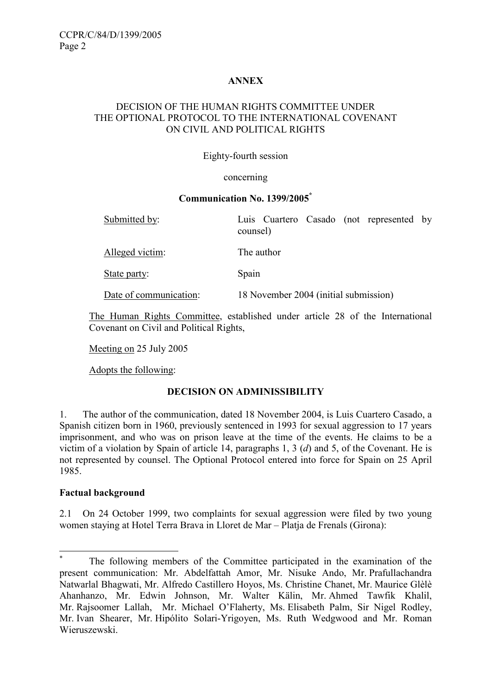## ANNEX

#### DECISION OF THE HUMAN RIGHTS COMMITTEE UNDER THE OPTIONAL PROTOCOL TO THE INTERNATIONAL COVENANT ON CIVIL AND POLITICAL RIGHTS

#### Eighty-fourth session

#### concerning

#### Communication No. 1399/2005\*

| Submitted by:          | Luis Cuartero Casado (not represented by<br>counsel) |  |
|------------------------|------------------------------------------------------|--|
| Alleged victim:        | The author                                           |  |
| State party:           | Spain                                                |  |
| Date of communication: | 18 November 2004 (initial submission)                |  |

The Human Rights Committee, established under article 28 of the International Covenant on Civil and Political Rights,

Meeting on 25 July 2005

Adopts the following:

## DECISION ON ADMINISSIBILITY

1. The author of the communication, dated 18 November 2004, is Luis Cuartero Casado, a Spanish citizen born in 1960, previously sentenced in 1993 for sexual aggression to 17 years imprisonment, and who was on prison leave at the time of the events. He claims to be a victim of a violation by Spain of article 14, paragraphs 1, 3 (d) and 5, of the Covenant. He is not represented by counsel. The Optional Protocol entered into force for Spain on 25 April 1985.

## Factual background

 $\overline{a}$ 

2.1 On 24 October 1999, two complaints for sexual aggression were filed by two young women staying at Hotel Terra Brava in Lloret de Mar – Platja de Frenals (Girona):

<sup>\*</sup> The following members of the Committee participated in the examination of the present communication: Mr. Abdelfattah Amor, Mr. Nisuke Ando, Mr. Prafullachandra Natwarlal Bhagwati, Mr. Alfredo Castillero Hoyos, Ms. Christine Chanet, Mr. Maurice Glèlè Ahanhanzo, Mr. Edwin Johnson, Mr. Walter Kälin, Mr. Ahmed Tawfik Khalil, Mr. Rajsoomer Lallah, Mr. Michael O'Flaherty, Ms. Elisabeth Palm, Sir Nigel Rodley, Mr. Ivan Shearer, Mr. Hipólito Solari-Yrigoyen, Ms. Ruth Wedgwood and Mr. Roman Wieruszewski.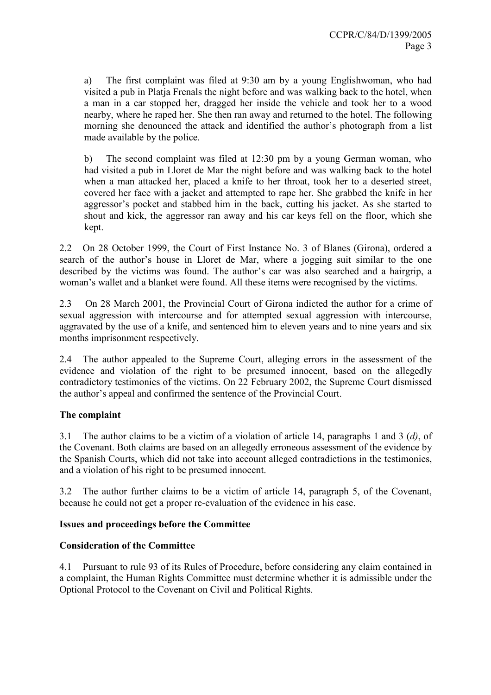a) The first complaint was filed at 9:30 am by a young Englishwoman, who had visited a pub in Platja Frenals the night before and was walking back to the hotel, when a man in a car stopped her, dragged her inside the vehicle and took her to a wood nearby, where he raped her. She then ran away and returned to the hotel. The following morning she denounced the attack and identified the author's photograph from a list made available by the police.

b) The second complaint was filed at 12:30 pm by a young German woman, who had visited a pub in Lloret de Mar the night before and was walking back to the hotel when a man attacked her, placed a knife to her throat, took her to a deserted street, covered her face with a jacket and attempted to rape her. She grabbed the knife in her aggressor's pocket and stabbed him in the back, cutting his jacket. As she started to shout and kick, the aggressor ran away and his car keys fell on the floor, which she kept.

2.2 On 28 October 1999, the Court of First Instance No. 3 of Blanes (Girona), ordered a search of the author's house in Lloret de Mar, where a jogging suit similar to the one described by the victims was found. The author's car was also searched and a hairgrip, a woman's wallet and a blanket were found. All these items were recognised by the victims.

2.3 On 28 March 2001, the Provincial Court of Girona indicted the author for a crime of sexual aggression with intercourse and for attempted sexual aggression with intercourse, aggravated by the use of a knife, and sentenced him to eleven years and to nine years and six months imprisonment respectively.

2.4 The author appealed to the Supreme Court, alleging errors in the assessment of the evidence and violation of the right to be presumed innocent, based on the allegedly contradictory testimonies of the victims. On 22 February 2002, the Supreme Court dismissed the author's appeal and confirmed the sentence of the Provincial Court.

## The complaint

3.1 The author claims to be a victim of a violation of article 14, paragraphs 1 and 3 (d), of the Covenant. Both claims are based on an allegedly erroneous assessment of the evidence by the Spanish Courts, which did not take into account alleged contradictions in the testimonies, and a violation of his right to be presumed innocent.

3.2 The author further claims to be a victim of article 14, paragraph 5, of the Covenant, because he could not get a proper re-evaluation of the evidence in his case.

## Issues and proceedings before the Committee

## Consideration of the Committee

4.1 Pursuant to rule 93 of its Rules of Procedure, before considering any claim contained in a complaint, the Human Rights Committee must determine whether it is admissible under the Optional Protocol to the Covenant on Civil and Political Rights.